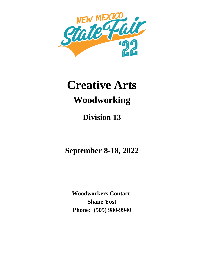

# **Creative Arts Woodworking**

# **Division 13**

**September 8-18, 2022**

**Woodworkers Contact: Shane Yost Phone: (505) 980-9940**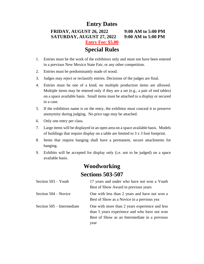# **Entry Dates FRIDAY, AUGUST 26, 2022 9:00 AM to 5:00 PM SATURDAY, AUGUST 27, 2022 9:00 AM to 5:00 PM Entry Fee: \$5.00 Special Rules**

- 1. Entries must be the work of the exhibitors only and must not have been entered in a previous New Mexico State Fair, or any other competition.
- 2. Entries must be predominantly made of wood.
- 3. Judges may reject or reclassify entries. Decisions of the judges are final.
- 4. Entries must be one of a kind; no multiple production items are allowed. Multiple items may be entered only if they are a set (e.g., a pair of end tables) on a space available basis. Small items must be attached to a display or secured in a case.
- 5. If the exhibitors name is on the entry, the exhibitor must conceal it to preserve anonymity during judging. No price tags may be attached.
- 6. Only one entry per class.
- 7. Large items will be displayed in an open area on a space available basis. Models of buildings that require display on a table are limited to 3 x 3 foot footprint.
- 8. Items that require hanging shall have a permanent, secure attachments for hanging.
- 9. Exhibits will be accepted for display only (i.e. not to be judged) on a space available basis.

# **Woodworking Sections 503-507**

| Section $503 -$ Youth      | 17 years and under who have not won a Youth<br>Best of Show Award in previous years                                                                     |
|----------------------------|---------------------------------------------------------------------------------------------------------------------------------------------------------|
| Section 504 – Novice       | One with less than 2 years and have not won a<br>Best of Show as a Novice in a previous yea                                                             |
| Section 505 – Intermediate | One with more than 2 years experience and less<br>than 5 years experience and who have not won<br>Best of Show as an Intermediate in a previous<br>year |